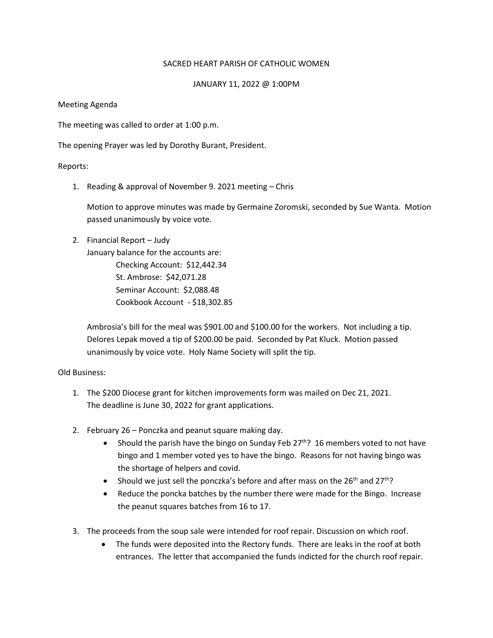## SACRED HEART PARISH OF CATHOLIC WOMEN

## JANUARY 11, 2022 @ 1:00PM

Meeting Agenda

The meeting was called to order at 1:00 p.m.

The opening Prayer was led by Dorothy Burant, President.

Reports:

1. Reading & approval of November 9. 2021 meeting – Chris

Motion to approve minutes was made by Germaine Zoromski, seconded by Sue Wanta. Motion passed unanimously by voice vote.

## 2. Financial Report – Judy

January balance for the accounts are: Checking Account: \$12,442.34 St. Ambrose: \$42,071.28 Seminar Account: \$2,088.48 Cookbook Account - \$18,302.85

Ambrosia's bill for the meal was \$901.00 and \$100.00 for the workers. Not including a tip. Delores Lepak moved a tip of \$200.00 be paid. Seconded by Pat Kluck. Motion passed unanimously by voice vote. Holy Name Society will split the tip.

Old Business:

- 1. The \$200 Diocese grant for kitchen improvements form was mailed on Dec 21, 2021. The deadline is June 30, 2022 for grant applications.
- 2. February 26 Ponczka and peanut square making day.
	- Should the parish have the bingo on Sunday Feb  $27^{th}$ ? 16 members voted to not have bingo and 1 member voted yes to have the bingo. Reasons for not having bingo was the shortage of helpers and covid.
	- Should we just sell the ponczka's before and after mass on the  $26<sup>th</sup>$  and  $27<sup>th</sup>$ ?
	- Reduce the poncka batches by the number there were made for the Bingo. Increase the peanut squares batches from 16 to 17.
- 3. The proceeds from the soup sale were intended for roof repair. Discussion on which roof.
	- The funds were deposited into the Rectory funds. There are leaks in the roof at both entrances. The letter that accompanied the funds indicted for the church roof repair.